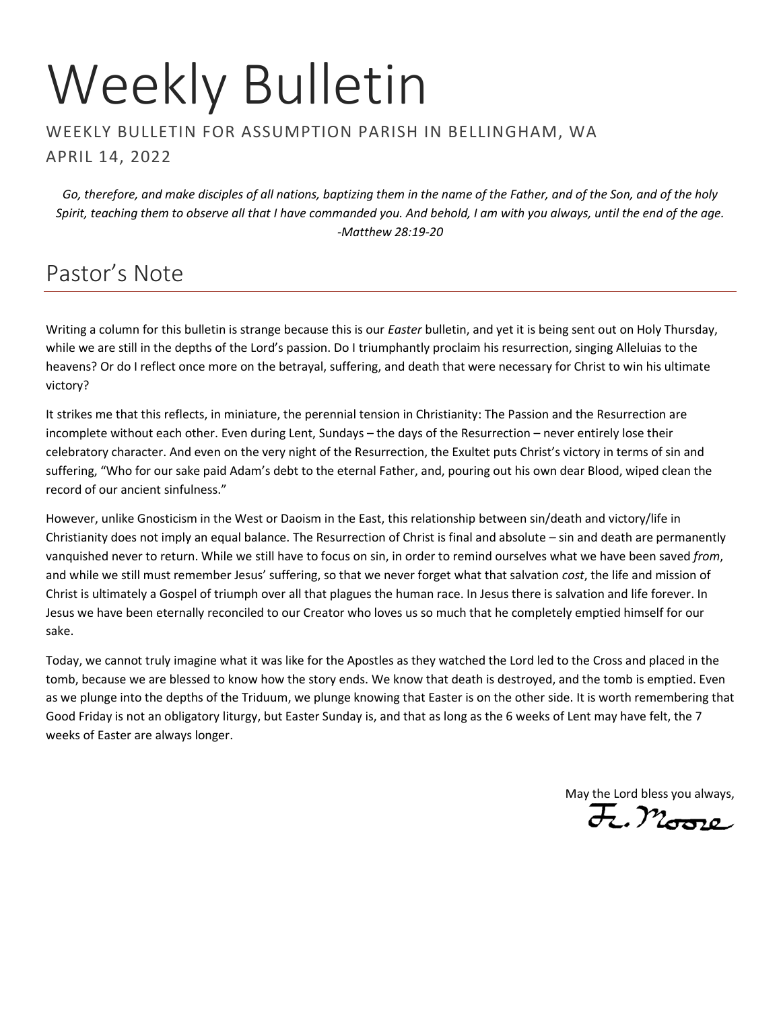# Weekly Bulletin

#### WEEKLY BULLETIN FOR ASSUMPTION PARISH IN BELLINGHAM, WA APRIL 14, 2022

*Go, therefore, and make disciples of all nations, baptizing them in the name of the Father, and of the Son, and of the holy Spirit, teaching them to observe all that I have commanded you. And behold, I am with you always, until the end of the age. -Matthew 28:19-20*

# Pastor's Note

Writing a column for this bulletin is strange because this is our *Easter* bulletin, and yet it is being sent out on Holy Thursday, while we are still in the depths of the Lord's passion. Do I triumphantly proclaim his resurrection, singing Alleluias to the heavens? Or do I reflect once more on the betrayal, suffering, and death that were necessary for Christ to win his ultimate victory?

It strikes me that this reflects, in miniature, the perennial tension in Christianity: The Passion and the Resurrection are incomplete without each other. Even during Lent, Sundays – the days of the Resurrection – never entirely lose their celebratory character. And even on the very night of the Resurrection, the Exultet puts Christ's victory in terms of sin and suffering, "Who for our sake paid Adam's debt to the eternal Father, and, pouring out his own dear Blood, wiped clean the record of our ancient sinfulness."

However, unlike Gnosticism in the West or Daoism in the East, this relationship between sin/death and victory/life in Christianity does not imply an equal balance. The Resurrection of Christ is final and absolute – sin and death are permanently vanquished never to return. While we still have to focus on sin, in order to remind ourselves what we have been saved *from*, and while we still must remember Jesus' suffering, so that we never forget what that salvation *cost*, the life and mission of Christ is ultimately a Gospel of triumph over all that plagues the human race. In Jesus there is salvation and life forever. In Jesus we have been eternally reconciled to our Creator who loves us so much that he completely emptied himself for our sake.

Today, we cannot truly imagine what it was like for the Apostles as they watched the Lord led to the Cross and placed in the tomb, because we are blessed to know how the story ends. We know that death is destroyed, and the tomb is emptied. Even as we plunge into the depths of the Triduum, we plunge knowing that Easter is on the other side. It is worth remembering that Good Friday is not an obligatory liturgy, but Easter Sunday is, and that as long as the 6 weeks of Lent may have felt, the 7 weeks of Easter are always longer.

May the Lord bless you always,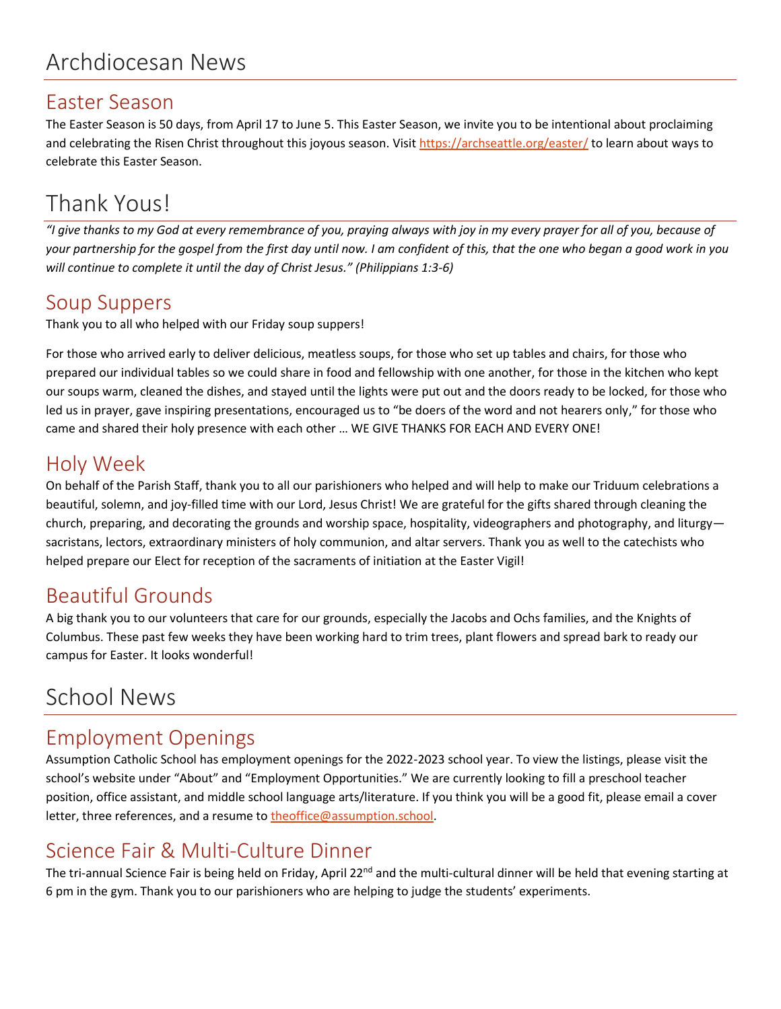#### Easter Season

The Easter Season is 50 days, from April 17 to June 5. This Easter Season, we invite you to be intentional about proclaiming and celebrating the Risen Christ throughout this joyous season. Visi[t https://archseattle.org/easter/](https://archseattle.org/easter/) to learn about ways to celebrate this Easter Season.

# Thank Yous!

*"I give thanks to my God at every remembrance of you, praying always with joy in my every prayer for all of you, because of your partnership for the gospel from the first day until now. I am confident of this, that the one who began a good work in you will continue to complete it until the day of Christ Jesus." (Philippians 1:3-6)*

## Soup Suppers

Thank you to all who helped with our Friday soup suppers!

For those who arrived early to deliver delicious, meatless soups, for those who set up tables and chairs, for those who prepared our individual tables so we could share in food and fellowship with one another, for those in the kitchen who kept our soups warm, cleaned the dishes, and stayed until the lights were put out and the doors ready to be locked, for those who led us in prayer, gave inspiring presentations, encouraged us to "be doers of the word and not hearers only," for those who came and shared their holy presence with each other … WE GIVE THANKS FOR EACH AND EVERY ONE!

# Holy Week

On behalf of the Parish Staff, thank you to all our parishioners who helped and will help to make our Triduum celebrations a beautiful, solemn, and joy-filled time with our Lord, Jesus Christ! We are grateful for the gifts shared through cleaning the church, preparing, and decorating the grounds and worship space, hospitality, videographers and photography, and liturgy sacristans, lectors, extraordinary ministers of holy communion, and altar servers. Thank you as well to the catechists who helped prepare our Elect for reception of the sacraments of initiation at the Easter Vigil!

## Beautiful Grounds

A big thank you to our volunteers that care for our grounds, especially the Jacobs and Ochs families, and the Knights of Columbus. These past few weeks they have been working hard to trim trees, plant flowers and spread bark to ready our campus for Easter. It looks wonderful!

# School News

# Employment Openings

Assumption Catholic School has employment openings for the 2022-2023 school year. To view the listings, please visit the school's website under "About" and "Employment Opportunities." We are currently looking to fill a preschool teacher position, office assistant, and middle school language arts/literature. If you think you will be a good fit, please email a cover letter, three references, and a resume to [theoffice@assumption.school.](mailto:theoffice@assumption.school)

# Science Fair & Multi-Culture Dinner

The tri-annual Science Fair is being held on Friday, April 22<sup>nd</sup> and the multi-cultural dinner will be held that evening starting at 6 pm in the gym. Thank you to our parishioners who are helping to judge the students' experiments.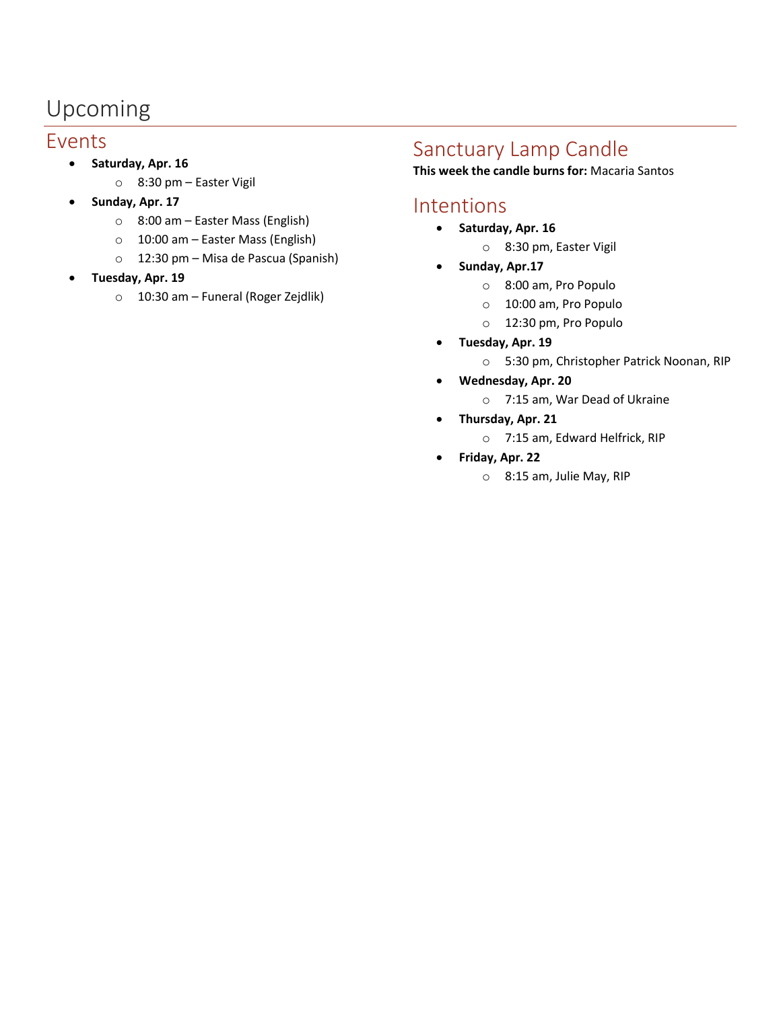# Upcoming

#### Events

- **Saturday, Apr. 16**
	- o 8:30 pm Easter Vigil
- **Sunday, Apr. 17**
	- o 8:00 am Easter Mass (English)
	- o 10:00 am Easter Mass (English)
	- o 12:30 pm Misa de Pascua (Spanish)
- **Tuesday, Apr. 19**
	- o 10:30 am Funeral (Roger Zejdlik)

# Sanctuary Lamp Candle

**This week the candle burns for:** Macaria Santos

#### Intentions

- **Saturday, Apr. 16**
	- o 8:30 pm, Easter Vigil
- **Sunday, Apr.17**
	- o 8:00 am, Pro Populo
	- o 10:00 am, Pro Populo
	- o 12:30 pm, Pro Populo
- **Tuesday, Apr. 19**
	- o 5:30 pm, Christopher Patrick Noonan, RIP
- **Wednesday, Apr. 20**
	- o 7:15 am, War Dead of Ukraine
- **Thursday, Apr. 21**
	- o 7:15 am, Edward Helfrick, RIP
- **Friday, Apr. 22**
	- o 8:15 am, Julie May, RIP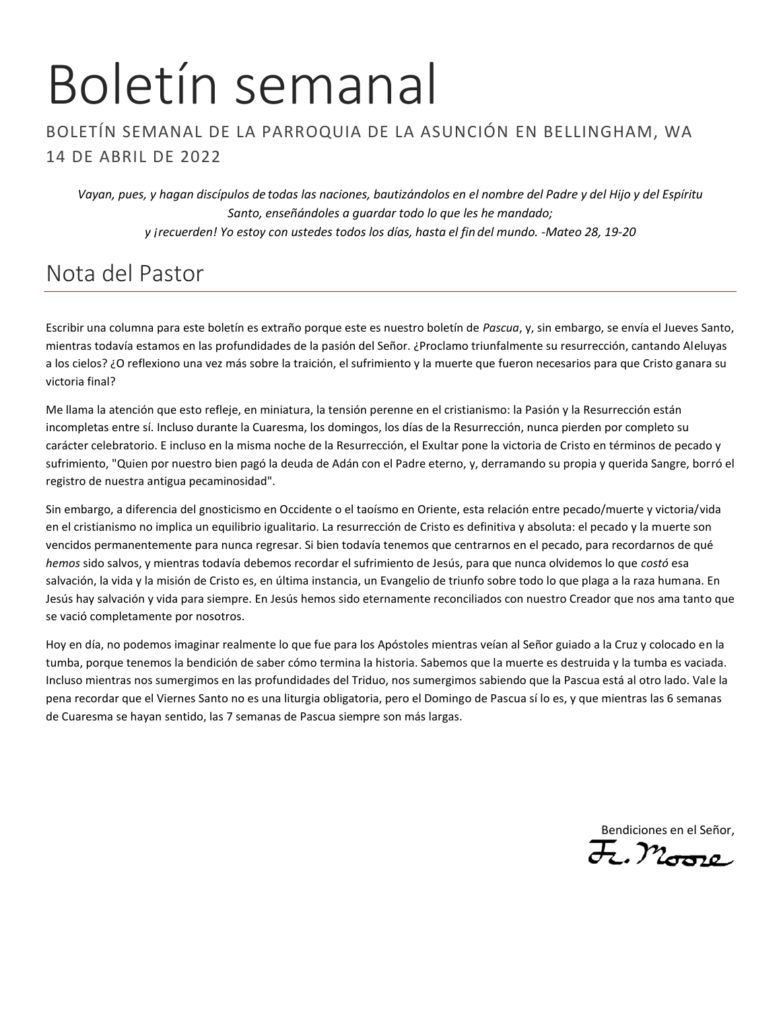# Boletín semanal

#### BOLETÍN SEMANAL DE LA PARROQUIA DE LA ASUNCIÓN EN BELLINGHAM, WA 14 DE ABRIL DE 2022

*Vayan, pues, y hagan discípulos de todas las naciones, bautizándolos en el nombre del Padre y del Hijo y del Espíritu Santo, enseñándoles a guardar todo lo que les he mandado; y ¡recuerden! Yo estoy con ustedes todos los días, hasta el fin del mundo. -Mateo 28, 19-20*

# Nota del Pastor

Escribir una columna para este boletín es extraño porque este es nuestro boletín de *Pascua*, y, sin embargo, se envía el Jueves Santo, mientras todavía estamos en las profundidades de la pasión del Señor. ¿Proclamo triunfalmente su resurrección, cantando Aleluyas a los cielos? ¿O reflexiono una vez más sobre la traición, el sufrimiento y la muerte que fueron necesarios para que Cristo ganara su victoria final?

Me llama la atención que esto refleje, en miniatura, la tensión perenne en el cristianismo: la Pasión y la Resurrección están incompletas entre sí. Incluso durante la Cuaresma, los domingos, los días de la Resurrección, nunca pierden por completo su carácter celebratorio. E incluso en la misma noche de la Resurrección, el Exultar pone la victoria de Cristo en términos de pecado y sufrimiento, "Quien por nuestro bien pagó la deuda de Adán con el Padre eterno, y, derramando su propia y querida Sangre, borró el registro de nuestra antigua pecaminosidad".

Sin embargo, a diferencia del gnosticismo en Occidente o el taoísmo en Oriente, esta relación entre pecado/muerte y victoria/vida en el cristianismo no implica un equilibrio igualitario. La resurrección de Cristo es definitiva y absoluta: el pecado y la muerte son vencidos permanentemente para nunca regresar. Si bien todavía tenemos que centrarnos en el pecado, para recordarnos de qué *hemos* sido salvos, y mientras todavía debemos recordar el sufrimiento de Jesús, para que nunca olvidemos lo que *costó* esa salvación, la vida y la misión de Cristo es, en última instancia, un Evangelio de triunfo sobre todo lo que plaga a la raza humana. En Jesús hay salvación y vida para siempre. En Jesús hemos sido eternamente reconciliados con nuestro Creador que nos ama tanto que se vació completamente por nosotros.

Hoy en día, no podemos imaginar realmente lo que fue para los Apóstoles mientras veían al Señor guiado a la Cruz y colocado en la tumba, porque tenemos la bendición de saber cómo termina la historia. Sabemos que la muerte es destruida y la tumba es vaciada. Incluso mientras nos sumergimos en las profundidades del Triduo, nos sumergimos sabiendo que la Pascua está al otro lado. Vale la pena recordar que el Viernes Santo no es una liturgia obligatoria, pero el Domingo de Pascua sí lo es, y que mientras las 6 semanas de Cuaresma se hayan sentido, las 7 semanas de Pascua siempre son más largas.

Bendiciones en el Señor,

 $\overline{\mathcal{F}}$ , Moro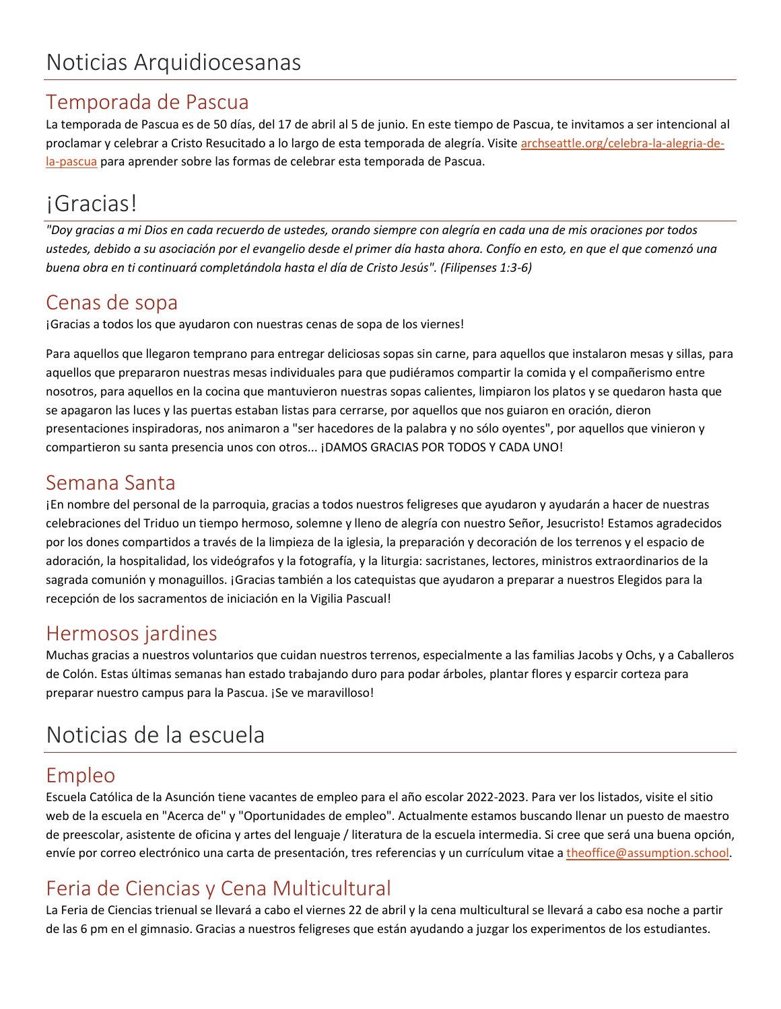## Temporada de Pascua

La temporada de Pascua es de 50 días, del 17 de abril al 5 de junio. En este tiempo de Pascua, te invitamos a ser intencional al proclamar y celebrar a Cristo Resucitado a lo largo de esta temporada de alegría. Visite [archseattle.org/celebra-la-alegria-de](https://archseattle.org/celebra-la-alegria-de-la-pascua/?lang=es)[la-pascua](https://archseattle.org/celebra-la-alegria-de-la-pascua/?lang=es) para aprender sobre las formas de celebrar esta temporada de Pascua.

# ¡Gracias!

*"Doy gracias a mi Dios en cada recuerdo de ustedes, orando siempre con alegría en cada una de mis oraciones por todos ustedes, debido a su asociación por el evangelio desde el primer día hasta ahora. Confío en esto, en que el que comenzó una buena obra en ti continuará completándola hasta el día de Cristo Jesús". (Filipenses 1:3-6)*

## Cenas de sopa

¡Gracias a todos los que ayudaron con nuestras cenas de sopa de los viernes!

Para aquellos que llegaron temprano para entregar deliciosas sopas sin carne, para aquellos que instalaron mesas y sillas, para aquellos que prepararon nuestras mesas individuales para que pudiéramos compartir la comida y el compañerismo entre nosotros, para aquellos en la cocina que mantuvieron nuestras sopas calientes, limpiaron los platos y se quedaron hasta que se apagaron las luces y las puertas estaban listas para cerrarse, por aquellos que nos guiaron en oración, dieron presentaciones inspiradoras, nos animaron a "ser hacedores de la palabra y no sólo oyentes", por aquellos que vinieron y compartieron su santa presencia unos con otros... ¡DAMOS GRACIAS POR TODOS Y CADA UNO!

## Semana Santa

¡En nombre del personal de la parroquia, gracias a todos nuestros feligreses que ayudaron y ayudarán a hacer de nuestras celebraciones del Triduo un tiempo hermoso, solemne y lleno de alegría con nuestro Señor, Jesucristo! Estamos agradecidos por los dones compartidos a través de la limpieza de la iglesia, la preparación y decoración de los terrenos y el espacio de adoración, la hospitalidad, los videógrafos y la fotografía, y la liturgia: sacristanes, lectores, ministros extraordinarios de la sagrada comunión y monaguillos. ¡Gracias también a los catequistas que ayudaron a preparar a nuestros Elegidos para la recepción de los sacramentos de iniciación en la Vigilia Pascual!

## Hermosos jardines

Muchas gracias a nuestros voluntarios que cuidan nuestros terrenos, especialmente a las familias Jacobs y Ochs, y a Caballeros de Colón. Estas últimas semanas han estado trabajando duro para podar árboles, plantar flores y esparcir corteza para preparar nuestro campus para la Pascua. ¡Se ve maravilloso!

# Noticias de la escuela

# Empleo

Escuela Católica de la Asunción tiene vacantes de empleo para el año escolar 2022-2023. Para ver los listados, visite el sitio web de la escuela en "Acerca de" y "Oportunidades de empleo". Actualmente estamos buscando llenar un puesto de maestro de preescolar, asistente de oficina y artes del lenguaje / literatura de la escuela intermedia. Si cree que será una buena opción, envíe por correo electrónico una carta de presentación, tres referencias y un currículum vitae [a theoffice@assumption.school.](mailto:theoffice@assumption.school)

# Feria de Ciencias y Cena Multicultural

La Feria de Ciencias trienual se llevará a cabo el viernes 22 de abril y la cena multicultural se llevará a cabo esa noche a partir de las 6 pm en el gimnasio. Gracias a nuestros feligreses que están ayudando a juzgar los experimentos de los estudiantes.